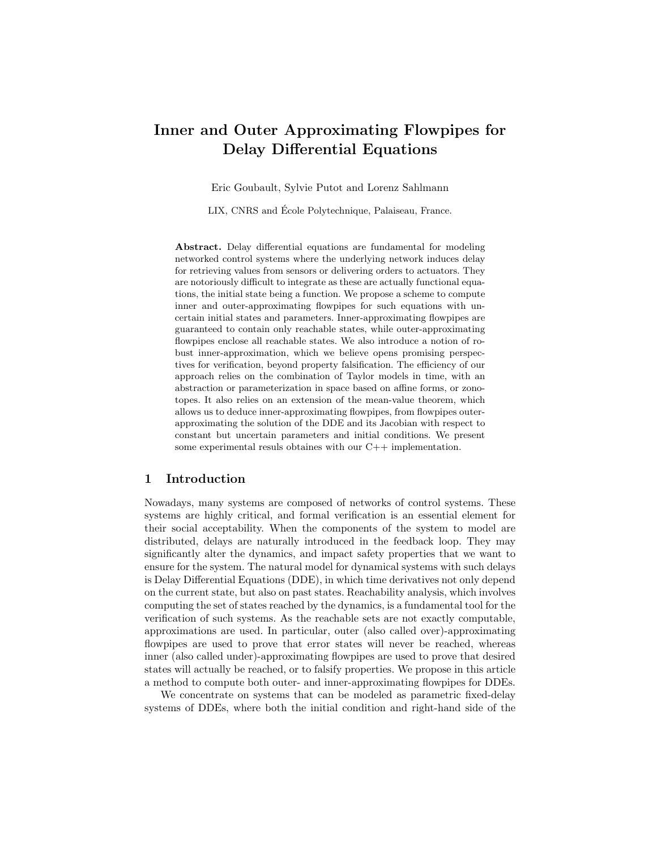# Inner and Outer Approximating Flowpipes for Delay Differential Equations

Eric Goubault, Sylvie Putot and Lorenz Sahlmann

LIX, CNRS and Ecole Polytechnique, Palaiseau, France. ´

Abstract. Delay differential equations are fundamental for modeling networked control systems where the underlying network induces delay for retrieving values from sensors or delivering orders to actuators. They are notoriously difficult to integrate as these are actually functional equations, the initial state being a function. We propose a scheme to compute inner and outer-approximating flowpipes for such equations with uncertain initial states and parameters. Inner-approximating flowpipes are guaranteed to contain only reachable states, while outer-approximating flowpipes enclose all reachable states. We also introduce a notion of robust inner-approximation, which we believe opens promising perspectives for verification, beyond property falsification. The efficiency of our approach relies on the combination of Taylor models in time, with an abstraction or parameterization in space based on affine forms, or zonotopes. It also relies on an extension of the mean-value theorem, which allows us to deduce inner-approximating flowpipes, from flowpipes outerapproximating the solution of the DDE and its Jacobian with respect to constant but uncertain parameters and initial conditions. We present some experimental resuls obtaines with our C++ implementation.

## 1 Introduction

Nowadays, many systems are composed of networks of control systems. These systems are highly critical, and formal verification is an essential element for their social acceptability. When the components of the system to model are distributed, delays are naturally introduced in the feedback loop. They may significantly alter the dynamics, and impact safety properties that we want to ensure for the system. The natural model for dynamical systems with such delays is Delay Differential Equations (DDE), in which time derivatives not only depend on the current state, but also on past states. Reachability analysis, which involves computing the set of states reached by the dynamics, is a fundamental tool for the verification of such systems. As the reachable sets are not exactly computable, approximations are used. In particular, outer (also called over)-approximating flowpipes are used to prove that error states will never be reached, whereas inner (also called under)-approximating flowpipes are used to prove that desired states will actually be reached, or to falsify properties. We propose in this article a method to compute both outer- and inner-approximating flowpipes for DDEs.

We concentrate on systems that can be modeled as parametric fixed-delay systems of DDEs, where both the initial condition and right-hand side of the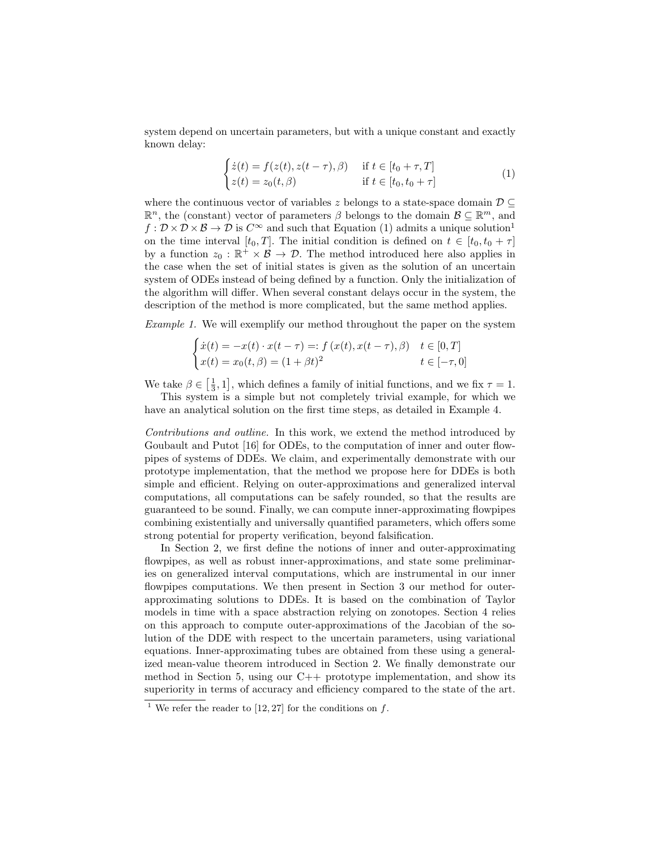system depend on uncertain parameters, but with a unique constant and exactly known delay:

$$
\begin{cases}\n\dot{z}(t) = f(z(t), z(t-\tau), \beta) & \text{if } t \in [t_0 + \tau, T] \\
z(t) = z_0(t, \beta) & \text{if } t \in [t_0, t_0 + \tau]\n\end{cases}
$$
\n(1)

where the continuous vector of variables z belongs to a state-space domain  $\mathcal{D} \subseteq$  $\mathbb{R}^n$ , the (constant) vector of parameters  $\beta$  belongs to the domain  $\mathcal{B} \subseteq \mathbb{R}^m$ , and  $f: \mathcal{D} \times \mathcal{D} \times \mathcal{B} \to \mathcal{D}$  is  $C^{\infty}$  and such that Equation (1) admits a unique solution<sup>1</sup> on the time interval  $[t_0, T]$ . The initial condition is defined on  $t \in [t_0, t_0 + \tau]$ by a function  $z_0 : \mathbb{R}^+ \times \mathcal{B} \to \mathcal{D}$ . The method introduced here also applies in the case when the set of initial states is given as the solution of an uncertain system of ODEs instead of being defined by a function. Only the initialization of the algorithm will differ. When several constant delays occur in the system, the description of the method is more complicated, but the same method applies.

Example 1. We will exemplify our method throughout the paper on the system

$$
\begin{cases}\n\dot{x}(t) = -x(t) \cdot x(t-\tau) =: f(x(t), x(t-\tau), \beta) & t \in [0, T] \\
x(t) = x_0(t, \beta) = (1 + \beta t)^2 & t \in [-\tau, 0]\n\end{cases}
$$

We take  $\beta \in \left[\frac{1}{3}, 1\right]$ , which defines a family of initial functions, and we fix  $\tau = 1$ .

This system is a simple but not completely trivial example, for which we have an analytical solution on the first time steps, as detailed in Example 4.

Contributions and outline. In this work, we extend the method introduced by Goubault and Putot [16] for ODEs, to the computation of inner and outer flowpipes of systems of DDEs. We claim, and experimentally demonstrate with our prototype implementation, that the method we propose here for DDEs is both simple and efficient. Relying on outer-approximations and generalized interval computations, all computations can be safely rounded, so that the results are guaranteed to be sound. Finally, we can compute inner-approximating flowpipes combining existentially and universally quantified parameters, which offers some strong potential for property verification, beyond falsification.

In Section 2, we first define the notions of inner and outer-approximating flowpipes, as well as robust inner-approximations, and state some preliminaries on generalized interval computations, which are instrumental in our inner flowpipes computations. We then present in Section 3 our method for outerapproximating solutions to DDEs. It is based on the combination of Taylor models in time with a space abstraction relying on zonotopes. Section 4 relies on this approach to compute outer-approximations of the Jacobian of the solution of the DDE with respect to the uncertain parameters, using variational equations. Inner-approximating tubes are obtained from these using a generalized mean-value theorem introduced in Section 2. We finally demonstrate our method in Section 5, using our  $C_{++}$  prototype implementation, and show its superiority in terms of accuracy and efficiency compared to the state of the art.

<sup>&</sup>lt;sup>1</sup> We refer the reader to [12, 27] for the conditions on  $f$ .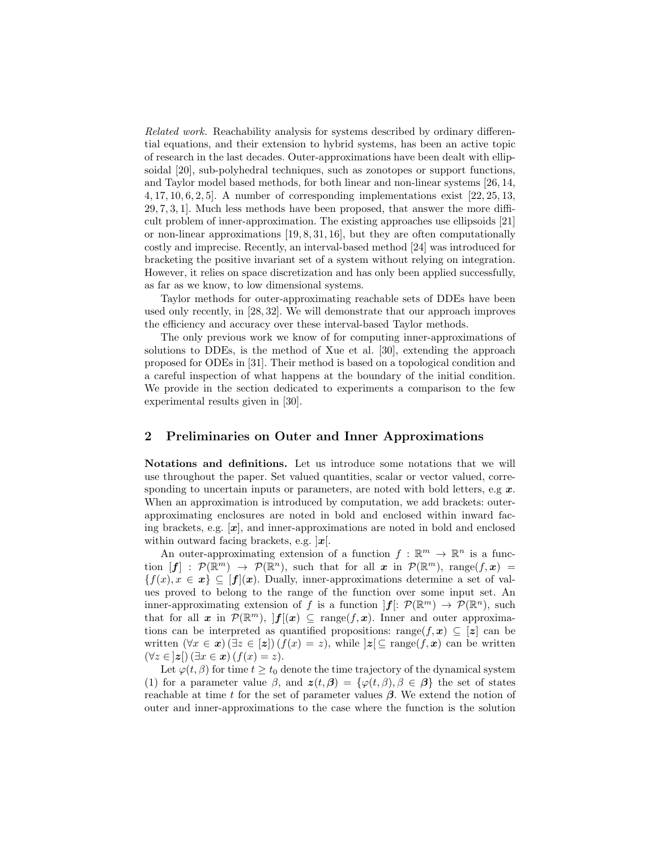Related work. Reachability analysis for systems described by ordinary differential equations, and their extension to hybrid systems, has been an active topic of research in the last decades. Outer-approximations have been dealt with ellipsoidal [20], sub-polyhedral techniques, such as zonotopes or support functions, and Taylor model based methods, for both linear and non-linear systems [26, 14, 4, 17, 10, 6, 2, 5]. A number of corresponding implementations exist [22, 25, 13, 29, 7, 3, 1]. Much less methods have been proposed, that answer the more difficult problem of inner-approximation. The existing approaches use ellipsoids [21] or non-linear approximations [19, 8, 31, 16], but they are often computationally costly and imprecise. Recently, an interval-based method [24] was introduced for bracketing the positive invariant set of a system without relying on integration. However, it relies on space discretization and has only been applied successfully, as far as we know, to low dimensional systems.

Taylor methods for outer-approximating reachable sets of DDEs have been used only recently, in [28, 32]. We will demonstrate that our approach improves the efficiency and accuracy over these interval-based Taylor methods.

The only previous work we know of for computing inner-approximations of solutions to DDEs, is the method of Xue et al. [30], extending the approach proposed for ODEs in [31]. Their method is based on a topological condition and a careful inspection of what happens at the boundary of the initial condition. We provide in the section dedicated to experiments a comparison to the few experimental results given in [30].

## 2 Preliminaries on Outer and Inner Approximations

Notations and definitions. Let us introduce some notations that we will use throughout the paper. Set valued quantities, scalar or vector valued, corresponding to uncertain inputs or parameters, are noted with bold letters, e.g  $x$ . When an approximation is introduced by computation, we add brackets: outerapproximating enclosures are noted in bold and enclosed within inward facing brackets, e.g.  $[x]$ , and inner-approximations are noted in bold and enclosed within outward facing brackets, e.g.  $\mathbf{x}[$ .

An outer-approximating extension of a function  $f : \mathbb{R}^m \to \mathbb{R}^n$  is a function  $[f] : \mathcal{P}(\mathbb{R}^m) \to \mathcal{P}(\mathbb{R}^n)$ , such that for all x in  $\mathcal{P}(\mathbb{R}^m)$ , range $(f, x) =$  ${f(x), x \in \mathbf{x} \subseteq [f](\mathbf{x})}$ . Dually, inner-approximations determine a set of values proved to belong to the range of the function over some input set. An inner-approximating extension of f is a function  $|f|: \mathcal{P}(\mathbb{R}^m) \to \mathcal{P}(\mathbb{R}^n)$ , such that for all x in  $\mathcal{P}(\mathbb{R}^m)$ ,  $|f|(x) \subseteq \text{range}(f, x)$ . Inner and outer approximations can be interpreted as quantified propositions: range $(f, x) \subseteq [z]$  can be written  $(\forall x \in \mathbf{x}) (\exists z \in [\mathbf{z}]) (f(x) = z)$ , while  $|\mathbf{z}| \subseteq \text{range}(f, \mathbf{x})$  can be written  $(\forall z \in \mathbf{z})$   $(\exists x \in \mathbf{x})$   $(f(x) = z)$ .

Let  $\varphi(t,\beta)$  for time  $t \geq t_0$  denote the time trajectory of the dynamical system (1) for a parameter value  $\beta$ , and  $z(t, \beta) = {\varphi(t, \beta), \beta \in \beta}$  the set of states reachable at time t for the set of parameter values  $\beta$ . We extend the notion of outer and inner-approximations to the case where the function is the solution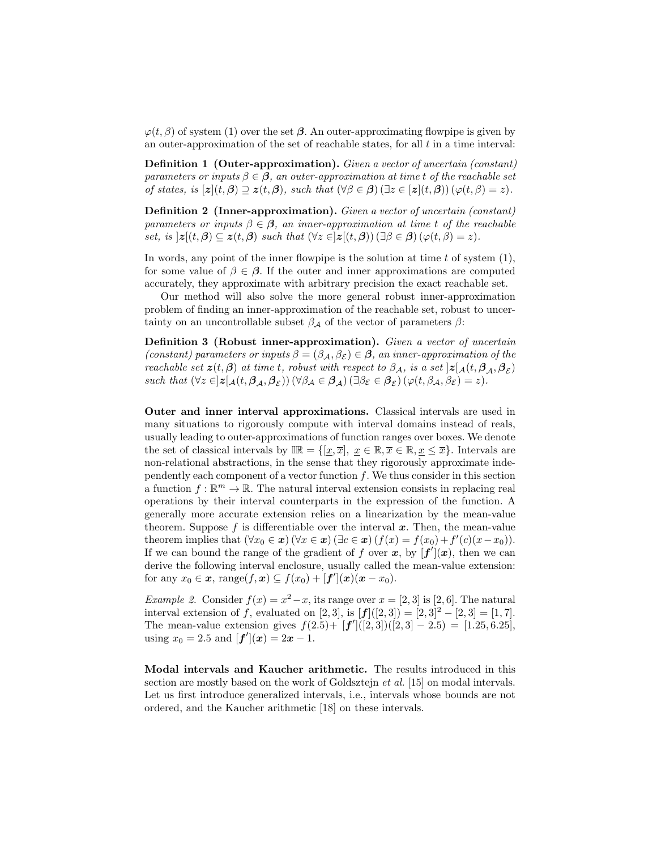$\varphi(t, \beta)$  of system (1) over the set  $\beta$ . An outer-approximating flowpipe is given by an outer-approximation of the set of reachable states, for all  $t$  in a time interval:

Definition 1 (Outer-approximation). Given a vector of uncertain (constant) parameters or inputs  $\beta \in \beta$ , an outer-approximation at time t of the reachable set of states, is  $[z](t, \beta) \supseteq z(t, \beta)$ , such that  $(\forall \beta \in \beta)$   $(\exists z \in [z](t, \beta))$   $(\varphi(t, \beta) = z)$ .

Definition 2 (Inner-approximation). Given a vector of uncertain (constant) parameters or inputs  $\beta \in \mathcal{B}$ , an inner-approximation at time t of the reachable set, is  $|z|(t, \beta) \subseteq z(t, \beta)$  such that  $(\forall z \in |z|(t, \beta)) (\exists \beta \in \beta) (\varphi(t, \beta) = z)$ .

In words, any point of the inner flowpipe is the solution at time  $t$  of system  $(1)$ , for some value of  $\beta \in \beta$ . If the outer and inner approximations are computed accurately, they approximate with arbitrary precision the exact reachable set.

Our method will also solve the more general robust inner-approximation problem of finding an inner-approximation of the reachable set, robust to uncertainty on an uncontrollable subset  $\beta_{\mathcal{A}}$  of the vector of parameters  $\beta$ :

Definition 3 (Robust inner-approximation). Given a vector of uncertain (constant) parameters or inputs  $\beta = (\beta_{\mathcal{A}}, \beta_{\mathcal{E}}) \in \mathcal{B}$ , an inner-approximation of the reachable set  $z(t, \beta)$  at time t, robust with respect to  $\beta_{\mathcal{A}}$ , is a set  $]z[_{\mathcal{A}}(t, \beta_{\mathcal{A}}, \beta_{\mathcal{E}})]$ such that  $(\forall z \in ]\mathbf{z}[\mathbf{A}(t,\boldsymbol{\beta}_{\mathcal{A}},\boldsymbol{\beta}_{\mathcal{E}}))(\forall \beta_{\mathcal{A}} \in \boldsymbol{\beta}_{\mathcal{A}}) (\exists \beta_{\mathcal{E}} \in \boldsymbol{\beta}_{\mathcal{E}}) (\varphi(t,\beta_{\mathcal{A}},\beta_{\mathcal{E}})=z).$ 

Outer and inner interval approximations. Classical intervals are used in many situations to rigorously compute with interval domains instead of reals, usually leading to outer-approximations of function ranges over boxes. We denote the set of classical intervals by  $\mathbb{IR} = \{[x, \overline{x}], x \in \mathbb{R}, x \in \mathbb{R}, x \leq \overline{x}\}.$  Intervals are non-relational abstractions, in the sense that they rigorously approximate independently each component of a vector function  $f$ . We thus consider in this section a function  $f : \mathbb{R}^m \to \mathbb{R}$ . The natural interval extension consists in replacing real operations by their interval counterparts in the expression of the function. A generally more accurate extension relies on a linearization by the mean-value theorem. Suppose f is differentiable over the interval  $x$ . Then, the mean-value theorem implies that  $(\forall x_0 \in \mathbf{x}) (\forall x \in \mathbf{x}) (\exists c \in \mathbf{x}) (f(x) = f(x_0) + f'(c)(x - x_0)).$ If we can bound the range of the gradient of f over x, by  $[f'](x)$ , then we can derive the following interval enclosure, usually called the mean-value extension: for any  $x_0 \in \mathbf{x}$ , range $(f, \mathbf{x}) \subseteq f(x_0) + [\mathbf{f}'](\mathbf{x}) (\mathbf{x} - x_0)$ .

Example 2. Consider  $f(x) = x^2 - x$ , its range over  $x = \begin{bmatrix} 2 & 3 \end{bmatrix}$  is  $\begin{bmatrix} 2 & 6 \end{bmatrix}$ . The natural interval extension of f, evaluated on [2, 3], is  $[f]([2,3]) = [2,3]^2 - [2,3] = [1,7].$ The mean-value extension gives  $f(2.5) + [f']([2,3])([2,3] - 2.5) = [1.25, 6.25],$ using  $x_0 = 2.5$  and  $[f'](x) = 2x - 1$ .

Modal intervals and Kaucher arithmetic. The results introduced in this section are mostly based on the work of Goldsztejn et al. [15] on modal intervals. Let us first introduce generalized intervals, i.e., intervals whose bounds are not ordered, and the Kaucher arithmetic [18] on these intervals.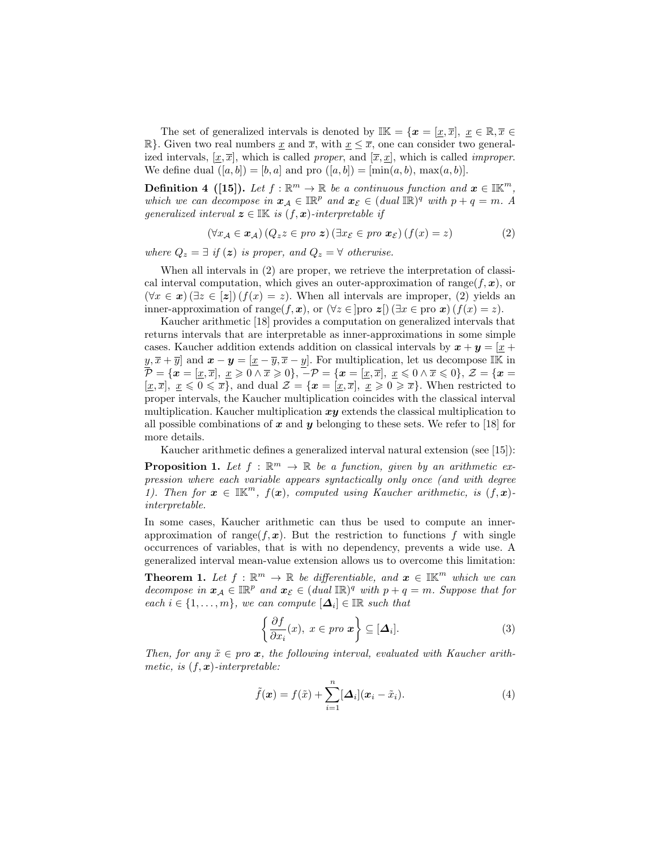The set of generalized intervals is denoted by  $\mathbb{IK} = \{x = [\underline{x}, \overline{x}], \underline{x} \in \mathbb{R}, \overline{x} \in$  $\mathbb{R}$ . Given two real numbers <u>x</u> and  $\overline{x}$ , with  $\underline{x} \leq \overline{x}$ , one can consider two generalized intervals,  $[\underline{x}, \overline{x}]$ , which is called proper, and  $[\overline{x}, \underline{x}]$ , which is called *improper*. We define dual  $([a, b]) = [b, a]$  and pro  $([a, b]) = [\min(a, b), \max(a, b)].$ 

**Definition 4** ([15]). Let  $f : \mathbb{R}^m \to \mathbb{R}$  be a continuous function and  $x \in \mathbb{IK}^m$ , which we can decompose in  $x_A \in \mathbb{IR}^p$  and  $x_{\mathcal{E}} \in (dual \mathbb{IR})^q$  with  $p + q = m$ . A generalized interval  $\boldsymbol{z} \in \mathbb{I}\mathbb{K}$  is  $(f, \boldsymbol{x})$ -interpretable if

$$
(\forall x_{\mathcal{A}} \in \mathbf{x}_{\mathcal{A}}) (Q_z z \in \text{pro } \mathbf{z}) (\exists x_{\mathcal{E}} \in \text{pro } \mathbf{x}_{\mathcal{E}}) (f(x) = z)
$$
 (2)

where  $Q_z = \exists$  if  $(z)$  is proper, and  $Q_z = \forall$  otherwise.

When all intervals in (2) are proper, we retrieve the interpretation of classical interval computation, which gives an outer-approximation of range( $f, x$ ), or  $(\forall x \in \mathbf{x})$  ( $\exists z \in [\mathbf{z}]$ )  $(f(x) = z)$ . When all intervals are improper, (2) yields an inner-approximation of range $(f, x)$ , or  $(\forall z \in \text{proj } z \in \text{proj } x$  ( $f(x) = z$ ).

Kaucher arithmetic [18] provides a computation on generalized intervals that returns intervals that are interpretable as inner-approximations in some simple cases. Kaucher addition extends addition on classical intervals by  $x + y = x$  $y, \overline{x} + \overline{y}$  and  $\boldsymbol{x} - \boldsymbol{y} = [\underline{x} - \overline{y}, \overline{x} - y]$ . For multiplication, let us decompose IK in  $\mathcal{\overline{P}}=\{\bm{x}=[\underline{x},\overline{x}],\ \underline{x}\geqslant 0\land \overline{x}\geqslant 0\},\ \overline{-}\mathcal{P}=\{\bm{x}=[\underline{x},\overline{x}],\ \underline{x}\leqslant 0\land \overline{x}\leqslant 0\},\ \mathcal{Z}=\{\bm{x}=0\}$  $[\underline{x}, \overline{x}], \underline{x} \leq 0 \leq \overline{x}$ , and dual  $\mathcal{Z} = {\boldsymbol{x} = [\underline{x}, \overline{x}], \underline{x} \geq 0 \geq \overline{x}}$ . When restricted to proper intervals, the Kaucher multiplication coincides with the classical interval multiplication. Kaucher multiplication  $xy$  extends the classical multiplication to all possible combinations of x and y belonging to these sets. We refer to [18] for more details.

Kaucher arithmetic defines a generalized interval natural extension (see [15]):

**Proposition 1.** Let  $f : \mathbb{R}^m \to \mathbb{R}$  be a function, given by an arithmetic expression where each variable appears syntactically only once (and with degree 1). Then for  $x \in \mathbb{IK}^m$ ,  $f(x)$ , computed using Kaucher arithmetic, is  $(f, x)$ interpretable.

In some cases, Kaucher arithmetic can thus be used to compute an innerapproximation of range( $f, x$ ). But the restriction to functions f with single occurrences of variables, that is with no dependency, prevents a wide use. A generalized interval mean-value extension allows us to overcome this limitation:

**Theorem 1.** Let  $f : \mathbb{R}^m \to \mathbb{R}$  be differentiable, and  $x \in \mathbb{I}\mathbb{K}^m$  which we can decompose in  $x_A \in \mathbb{IR}^p$  and  $x_{\mathcal{E}} \in (dual \mathbb{IR})^q$  with  $p + q = m$ . Suppose that for each  $i \in \{1, \ldots, m\}$ , we can compute  $[\Delta_i] \in \mathbb{IR}$  such that

$$
\left\{\frac{\partial f}{\partial x_i}(x), \ x \in \text{pro } \mathbf{x}\right\} \subseteq [\mathbf{\Delta}_i].\tag{3}
$$

Then, for any  $\tilde{x} \in pro~\mathbf{x}$ , the following interval, evaluated with Kaucher arithmetic, is  $(f, x)$ -interpretable:

$$
\tilde{f}(\boldsymbol{x}) = f(\tilde{x}) + \sum_{i=1}^{n} [\boldsymbol{\Delta}_i](\boldsymbol{x}_i - \tilde{x}_i).
$$
\n(4)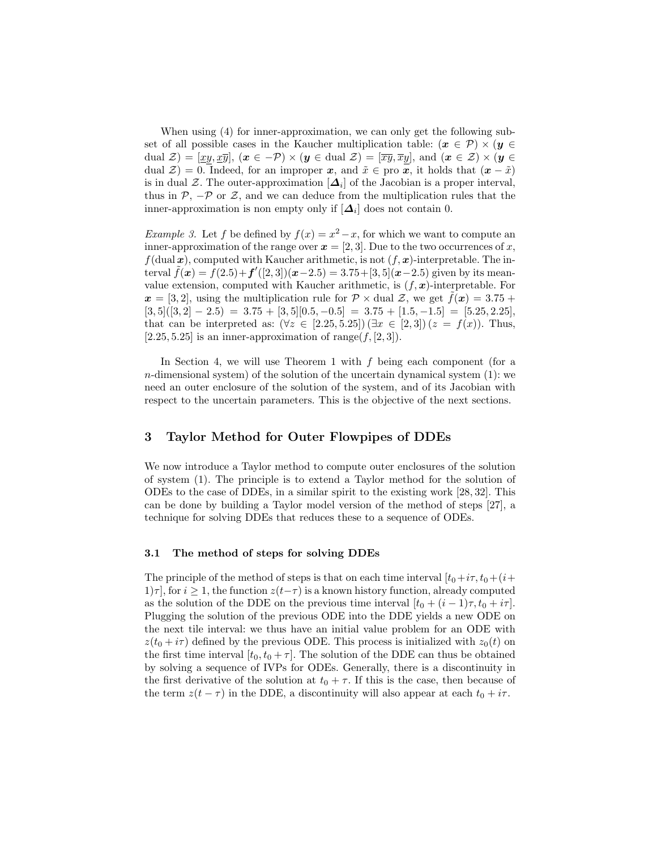When using (4) for inner-approximation, we can only get the following subset of all possible cases in the Kaucher multiplication table:  $(x \in \mathcal{P}) \times (y \in$ dual  $\mathcal{Z} = [xy, x\overline{y}], (x \in -\mathcal{P}) \times (y \in \text{dual } \mathcal{Z}) = [\overline{xy}, \overline{x}y], \text{ and } (x \in \mathcal{Z}) \times (y \in \mathcal{Z})$ dual  $\mathcal{Z}$ ) = 0. Indeed, for an improper x, and  $\tilde{x} \in \text{pro } \overline{x}$ , it holds that  $(x - \tilde{x})$ is in dual  $\mathcal{Z}$ . The outer-approximation  $[\Delta_i]$  of the Jacobian is a proper interval, thus in  $\mathcal{P}, -\mathcal{P}$  or  $\mathcal{Z},$  and we can deduce from the multiplication rules that the inner-approximation is non empty only if  $[\Delta_i]$  does not contain 0.

*Example 3.* Let f be defined by  $f(x) = x^2 - x$ , for which we want to compute an inner-approximation of the range over  $x = [2, 3]$ . Due to the two occurrences of x,  $f(dual \boldsymbol{x})$ , computed with Kaucher arithmetic, is not  $(f, \boldsymbol{x})$ -interpretable. The interval  $\tilde{f}(\mathbf{x}) = f(2.5) + f'(2, 3)(\mathbf{x}-2.5) = 3.75 + [3, 5](\mathbf{x}-2.5)$  given by its meanvalue extension, computed with Kaucher arithmetic, is  $(f, x)$ -interpretable. For  $x = [3, 2]$ , using the multiplication rule for  $\mathcal{P} \times$  dual  $\mathcal{Z}$ , we get  $f(x) = 3.75 +$  $[3,5]([3,2] - 2.5) = 3.75 + [3,5] [0.5, -0.5] = 3.75 + [1.5, -1.5] = [5.25, 2.25],$ that can be interpreted as:  $(\forall z \in [2.25, 5.25]) (\exists x \in [2, 3]) (z = f(x))$ . Thus, [2.25, 5.25] is an inner-approximation of range $(f, [2, 3])$ .

In Section 4, we will use Theorem 1 with f being each component (for a  $n$ -dimensional system) of the solution of the uncertain dynamical system  $(1)$ : we need an outer enclosure of the solution of the system, and of its Jacobian with respect to the uncertain parameters. This is the objective of the next sections.

## 3 Taylor Method for Outer Flowpipes of DDEs

We now introduce a Taylor method to compute outer enclosures of the solution of system (1). The principle is to extend a Taylor method for the solution of ODEs to the case of DDEs, in a similar spirit to the existing work [28, 32]. This can be done by building a Taylor model version of the method of steps [27], a technique for solving DDEs that reduces these to a sequence of ODEs.

#### 3.1 The method of steps for solving DDEs

The principle of the method of steps is that on each time interval  $[t_0+i\tau, t_0+(i+$  $1|\tau|$ , for  $i \geq 1$ , the function  $z(t-\tau)$  is a known history function, already computed as the solution of the DDE on the previous time interval  $[t_0 + (i - 1)\tau, t_0 + i\tau]$ . Plugging the solution of the previous ODE into the DDE yields a new ODE on the next tile interval: we thus have an initial value problem for an ODE with  $z(t_0 + i\tau)$  defined by the previous ODE. This process is initialized with  $z_0(t)$  on the first time interval  $[t_0, t_0 + \tau]$ . The solution of the DDE can thus be obtained by solving a sequence of IVPs for ODEs. Generally, there is a discontinuity in the first derivative of the solution at  $t_0 + \tau$ . If this is the case, then because of the term  $z(t - \tau)$  in the DDE, a discontinuity will also appear at each  $t_0 + i\tau$ .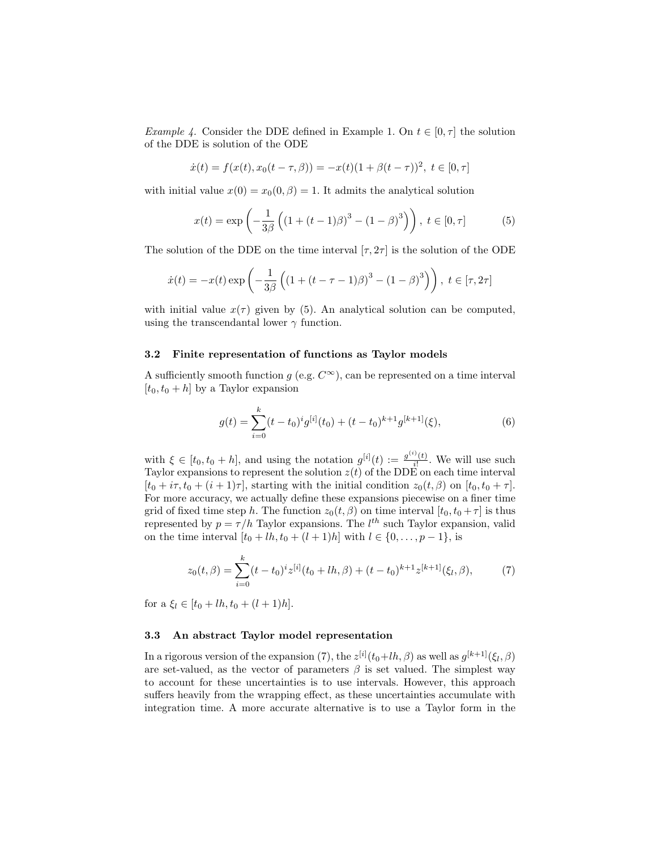*Example 4.* Consider the DDE defined in Example 1. On  $t \in [0, \tau]$  the solution of the DDE is solution of the ODE

$$
\dot{x}(t) = f(x(t), x_0(t - \tau, \beta)) = -x(t)(1 + \beta(t - \tau))^2, \ t \in [0, \tau]
$$

with initial value  $x(0) = x_0(0, \beta) = 1$ . It admits the analytical solution

$$
x(t) = \exp\left(-\frac{1}{3\beta} \left( (1 + (t - 1)\beta)^3 - (1 - \beta)^3 \right) \right), \ t \in [0, \tau]
$$
 (5)

The solution of the DDE on the time interval  $[\tau, 2\tau]$  is the solution of the ODE

$$
\dot{x}(t) = -x(t) \exp\left(-\frac{1}{3\beta} \left( (1 + (t - \tau - 1)\beta)^3 - (1 - \beta)^3 \right) \right), \ t \in [\tau, 2\tau]
$$

with initial value  $x(\tau)$  given by (5). An analytical solution can be computed, using the transcendantal lower  $\gamma$  function.

#### 3.2 Finite representation of functions as Taylor models

A sufficiently smooth function g (e.g.  $C^{\infty}$ ), can be represented on a time interval  $[t_0, t_0 + h]$  by a Taylor expansion

$$
g(t) = \sum_{i=0}^{k} (t - t_0)^i g^{[i]}(t_0) + (t - t_0)^{k+1} g^{[k+1]}(\xi),
$$
\n(6)

with  $\xi \in [t_0, t_0 + h]$ , and using the notation  $g^{[i]}(t) := \frac{g^{(i)}(t)}{i!}$  $\frac{\partial f(t)}{\partial t}$ . We will use such Taylor expansions to represent the solution  $z(t)$  of the DDE on each time interval  $[t_0 + i\tau, t_0 + (i + 1)\tau]$ , starting with the initial condition  $z_0(t, \beta)$  on  $[t_0, t_0 + \tau]$ . For more accuracy, we actually define these expansions piecewise on a finer time grid of fixed time step h. The function  $z_0(t, \beta)$  on time interval  $[t_0, t_0 + \tau]$  is thus represented by  $p = \tau/h$  Taylor expansions. The  $l^{th}$  such Taylor expansion, valid on the time interval  $[t_0 + lh, t_0 + (l + 1)h]$  with  $l \in \{0, ..., p - 1\}$ , is

$$
z_0(t,\beta) = \sum_{i=0}^k (t-t_0)^i z^{[i]}(t_0 + lh, \beta) + (t-t_0)^{k+1} z^{[k+1]}(\xi_l, \beta), \tag{7}
$$

for a  $\xi_l \in [t_0 + lh, t_0 + (l+1)h].$ 

#### 3.3 An abstract Taylor model representation

In a rigorous version of the expansion (7), the  $z^{[i]}(t_0+lh,\beta)$  as well as  $g^{[k+1]}(\xi_l,\beta)$ are set-valued, as the vector of parameters  $\beta$  is set valued. The simplest way to account for these uncertainties is to use intervals. However, this approach suffers heavily from the wrapping effect, as these uncertainties accumulate with integration time. A more accurate alternative is to use a Taylor form in the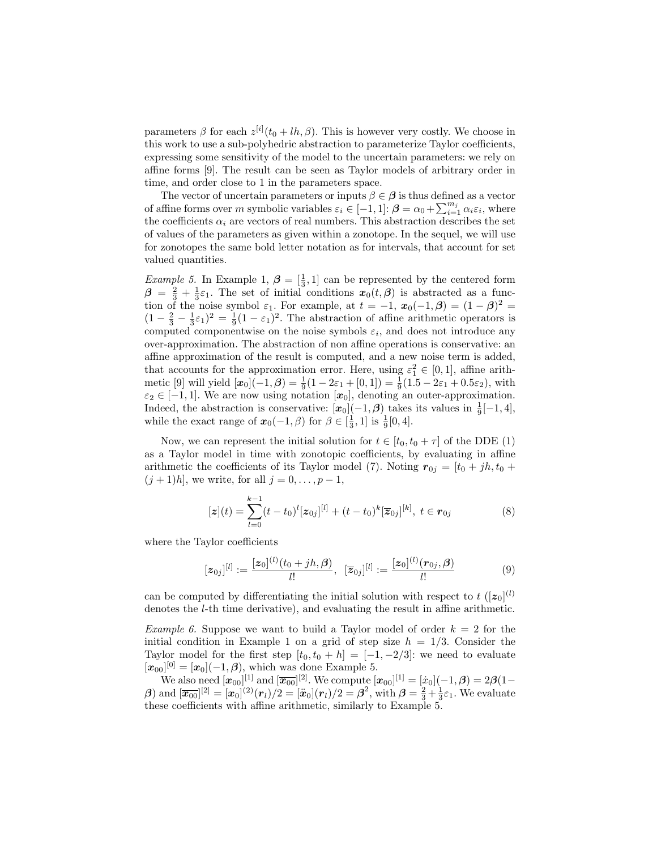parameters  $\beta$  for each  $z^{[i]}(t_0 + lh, \beta)$ . This is however very costly. We choose in this work to use a sub-polyhedric abstraction to parameterize Taylor coefficients, expressing some sensitivity of the model to the uncertain parameters: we rely on affine forms [9]. The result can be seen as Taylor models of arbitrary order in time, and order close to 1 in the parameters space.

The vector of uncertain parameters or inputs  $\beta \in \beta$  is thus defined as a vector of affine forms over m symbolic variables  $\varepsilon_i \in [-1,1]$ :  $\boldsymbol{\beta} = \alpha_0 + \sum_{i=1}^{m_j} \alpha_i \varepsilon_i$ , where the coefficients  $\alpha_i$  are vectors of real numbers. This abstraction describes the set of values of the parameters as given within a zonotope. In the sequel, we will use for zonotopes the same bold letter notation as for intervals, that account for set valued quantities.

*Example 5*. In Example 1,  $\beta = \left[\frac{1}{3}, 1\right]$  can be represented by the centered form  $\beta = \frac{2}{3} + \frac{1}{3}\varepsilon_1$ . The set of initial conditions  $x_0(t, \beta)$  is abstracted as a function of the noise symbol  $\varepsilon_1$ . For example, at  $t = -1$ ,  $\mathbf{x}_0(-1,\beta) = (1-\beta)^2 =$  $(1 - \frac{2}{3} - \frac{1}{3}\varepsilon_1)^2 = \frac{1}{9}(1 - \varepsilon_1)^2$ . The abstraction of affine arithmetic operators is computed componentwise on the noise symbols  $\varepsilon_i$ , and does not introduce any over-approximation. The abstraction of non affine operations is conservative: an affine approximation of the result is computed, and a new noise term is added, that accounts for the approximation error. Here, using  $\varepsilon_1^2 \in [0,1]$ , affine arithmetic [9] will yield  $[\mathbf{x}_0](-1, \beta) = \frac{1}{9}(1 - 2\varepsilon_1 + [0, 1]) = \frac{1}{9}(1.5 - 2\varepsilon_1 + 0.5\varepsilon_2)$ , with  $\varepsilon_2 \in [-1, 1].$  We are now using notation  $[\mathbf{x}_0]$ , denoting an outer-approximation. Indeed, the abstraction is conservative:  $[x_0](-1, \beta)$  takes its values in  $\frac{1}{9}[-1, 4]$ , while the exact range of  $\mathbf{x}_0(-1, \beta)$  for  $\beta \in \left[\frac{1}{3}, 1\right]$  is  $\frac{1}{9}[0, 4]$ .

Now, we can represent the initial solution for  $t \in [t_0, t_0 + \tau]$  of the DDE (1) as a Taylor model in time with zonotopic coefficients, by evaluating in affine arithmetic the coefficients of its Taylor model (7). Noting  $\mathbf{r}_{0j} = [t_0 + jh, t_0 +$  $(j + 1)h$ , we write, for all  $j = 0, ..., p - 1$ ,

$$
[\boldsymbol{z}](t) = \sum_{l=0}^{k-1} (t - t_0)^l [\boldsymbol{z}_{0j}]^{[l]} + (t - t_0)^k [\boldsymbol{\overline{z}}_{0j}]^{[k]}, \ t \in \boldsymbol{r}_{0j} \tag{8}
$$

where the Taylor coefficients

$$
[z_{0j}]^{[l]} := \frac{[z_0]^{(l)}(t_0+jh,\beta)}{l!}, \ \ [\overline{z}_{0j}]^{[l]} := \frac{[z_0]^{(l)}(\mathbf{r}_{0j},\beta)}{l!}
$$
(9)

can be computed by differentiating the initial solution with respect to  $t \, ([z_0]^{(l)}$ denotes the l-th time derivative), and evaluating the result in affine arithmetic.

*Example 6.* Suppose we want to build a Taylor model of order  $k = 2$  for the initial condition in Example 1 on a grid of step size  $h = 1/3$ . Consider the Taylor model for the first step  $[t_0, t_0 + h] = [-1, -2/3]$ : we need to evaluate  $[\bm{x}_{00}]^{[0]} = [\bm{x}_0](-1, \beta)$ , which was done Example 5.

We also need  $[\bm{x}_{00}]^{[1]}$  and  $[\overline{\bm{x}_{00}}]^{[2]}$ . We compute  $[\bm{x}_{00}]^{[1]} = [\dot{x}_0](-1,\bm{\beta}) = 2\bm{\beta}(1-\bm{\beta})$  $\beta)$  and  $[\overline{x_{00}}]^{[2]} = [x_0]^{(2)}(r_l)/2 = [\ddot{x}_0](r_l)/2 = \beta^2$ , with  $\beta = \frac{2}{3} + \frac{1}{3}\varepsilon_1$ . We evaluate these coefficients with affine arithmetic, similarly to Example 5.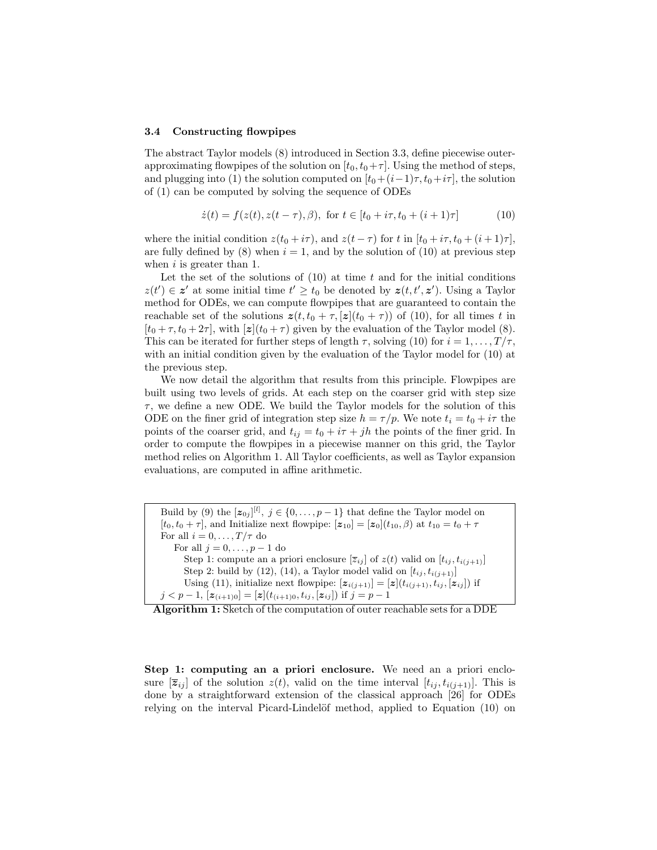#### 3.4 Constructing flowpipes

The abstract Taylor models (8) introduced in Section 3.3, define piecewise outerapproximating flowpipes of the solution on  $[t_0, t_0+\tau]$ . Using the method of steps, and plugging into (1) the solution computed on  $[t_0+(i-1)\tau, t_0+i\tau]$ , the solution of (1) can be computed by solving the sequence of ODEs

$$
\dot{z}(t) = f(z(t), z(t-\tau), \beta), \text{ for } t \in [t_0 + i\tau, t_0 + (i+1)\tau] \tag{10}
$$

where the initial condition  $z(t_0 + i\tau)$ , and  $z(t - \tau)$  for t in  $[t_0 + i\tau, t_0 + (i + 1)\tau]$ , are fully defined by (8) when  $i = 1$ , and by the solution of (10) at previous step when  $i$  is greater than 1.

Let the set of the solutions of  $(10)$  at time t and for the initial conditions  $z(t') \in \mathbf{z}'$  at some initial time  $t' \geq t_0$  be denoted by  $z(t, t', \mathbf{z}')$ . Using a Taylor method for ODEs, we can compute flowpipes that are guaranteed to contain the reachable set of the solutions  $z(t, t_0 + \tau, z|(t_0 + \tau))$  of (10), for all times t in  $[t_0 + \tau, t_0 + 2\tau]$ , with  $[z](t_0 + \tau)$  given by the evaluation of the Taylor model (8). This can be iterated for further steps of length  $\tau$ , solving (10) for  $i = 1, \ldots, T/\tau$ , with an initial condition given by the evaluation of the Taylor model for  $(10)$  at the previous step.

We now detail the algorithm that results from this principle. Flowpipes are built using two levels of grids. At each step on the coarser grid with step size  $\tau$ , we define a new ODE. We build the Taylor models for the solution of this ODE on the finer grid of integration step size  $h = \tau/p$ . We note  $t_i = t_0 + i\tau$  the points of the coarser grid, and  $t_{ij} = t_0 + i\tau + jh$  the points of the finer grid. In order to compute the flowpipes in a piecewise manner on this grid, the Taylor method relies on Algorithm 1. All Taylor coefficients, as well as Taylor expansion evaluations, are computed in affine arithmetic.

Build by (9) the  $[z_{0j}]^{[l]}, j \in \{0,\ldots,p-1\}$  that define the Taylor model on  $[t_0, t_0 + \tau]$ , and Initialize next flowpipe:  $[\mathbf{z}_{10}] = [\mathbf{z}_0](t_{10}, \beta)$  at  $t_{10} = t_0 + \tau$ For all  $i = 0, \ldots, T/\tau$  do For all  $j = 0, \ldots, p - 1$  do Step 1: compute an a priori enclosure  $[\overline{z}_{ij}]$  of  $z(t)$  valid on  $[t_{ij}, t_{i(j+1)}]$ Step 2: build by (12), (14), a Taylor model valid on  $[t_{ij}, t_{i(i+1)}]$ Using (11), initialize next flowpipe:  $[\mathbf{z}_{i(j+1)}] = [\mathbf{z}](t_{i(j+1)}, t_{ij}, [\mathbf{z}_{ij}])$  if  $j < p-1$ ,  $[\mathbf{z}_{(i+1)0}] = [\mathbf{z}](t_{(i+1)0}, t_{ij}, [\mathbf{z}_{ij}])$  if  $j = p-1$ 

Algorithm 1: Sketch of the computation of outer reachable sets for a DDE

Step 1: computing an a priori enclosure. We need an a priori enclosure  $[\overline{z}_{ij}]$  of the solution  $z(t)$ , valid on the time interval  $[t_{ij}, t_{i(i+1)}]$ . This is done by a straightforward extension of the classical approach [26] for ODEs relying on the interval Picard-Lindelöf method, applied to Equation (10) on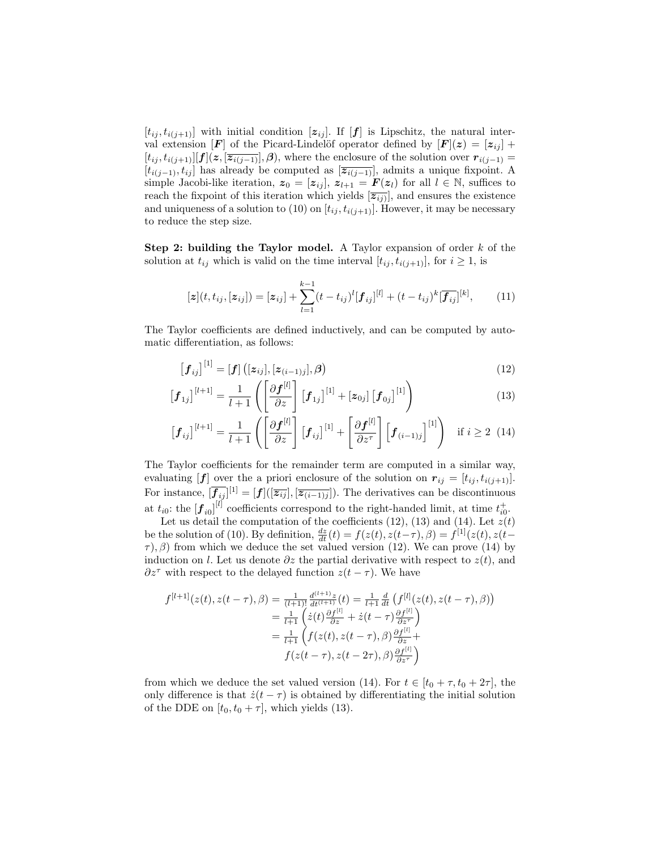$[t_{ij}, t_{i(j+1)}]$  with initial condition  $[z_{ij}]$ . If  $[f]$  is Lipschitz, the natural interval extension [F] of the Picard-Lindelöf operator defined by  $[F](z) = [z_{ij}] +$  $[t_{ij}, t_{i(j+1)}][f](z, \overline{z_{i(j-1)}}], \beta)$ , where the enclosure of the solution over  $r_{i(j-1)} =$  $[t_{i(j-1)}, t_{ij}]$  has already be computed as  $[\overline{z_{i(j-1)}}]$ , admits a unique fixpoint. A simple Jacobi-like iteration,  $z_0 = [z_{ij}]$ ,  $z_{l+1} = F(z_l)$  for all  $l \in \mathbb{N}$ , suffices to reach the fixpoint of this iteration which yields  $[\overline{z_{ij}}]$ , and ensures the existence and uniqueness of a solution to (10) on  $[t_{ij}, t_{i(j+1)}].$  However, it may be necessary to reduce the step size.

**Step 2: building the Taylor model.** A Taylor expansion of order  $k$  of the solution at  $t_{ij}$  which is valid on the time interval  $[t_{ij}, t_{i(j+1)}],$  for  $i \ge 1$ , is

$$
[\mathbf{z}](t, t_{ij}, [\mathbf{z}_{ij}]) = [\mathbf{z}_{ij}] + \sum_{l=1}^{k-1} (t - t_{ij})^l [\mathbf{f}_{ij}]^{[l]} + (t - t_{ij})^k [\overline{\mathbf{f}_{ij}}]^{[k]},
$$
(11)

The Taylor coefficients are defined inductively, and can be computed by automatic differentiation, as follows:

$$
[\mathbf{f}_{ij}]^{[1]} = [\mathbf{f}] ([z_{ij}], [z_{(i-1)j}], \beta)
$$
\n(12)

$$
\begin{bmatrix} \boldsymbol{f}_{1j} \end{bmatrix}^{[l+1]} = \frac{1}{l+1} \left( \begin{bmatrix} \frac{\partial \boldsymbol{f}^{[l]}}{\partial z} \end{bmatrix} \begin{bmatrix} \boldsymbol{f}_{1j} \end{bmatrix}^{[1]} + \begin{bmatrix} \boldsymbol{z}_{0j} \end{bmatrix} \begin{bmatrix} \boldsymbol{f}_{0j} \end{bmatrix}^{[1]} \right) \tag{13}
$$

$$
\begin{bmatrix} \boldsymbol{f}_{ij} \end{bmatrix}^{[l+1]} = \frac{1}{l+1} \left( \begin{bmatrix} \frac{\partial \boldsymbol{f}^{[l]}}{\partial z} \end{bmatrix} \begin{bmatrix} \boldsymbol{f}_{ij} \end{bmatrix}^{[1]} + \begin{bmatrix} \frac{\partial \boldsymbol{f}^{[l]}}{\partial z^{\tau}} \end{bmatrix} \begin{bmatrix} \boldsymbol{f}_{(i-1)j} \end{bmatrix}^{[1]} \right) \text{ if } i \geq 2 \tag{14}
$$

The Taylor coefficients for the remainder term are computed in a similar way, evaluating  $[f]$  over the a priori enclosure of the solution on  $r_{ij} = [t_{ij}, t_{i(j+1)}].$ For instance,  $[\overline{f_{ij}}]^{[1]} = [f]([\overline{z_{ij}}], [\overline{z_{(i-1)j}}])$ . The derivatives can be discontinuous at  $t_{i0}$ : the  $[\mathbf{f}_{i0}]^{[l]}$  coefficients correspond to the right-handed limit, at time  $t_{i0}^+$ .

Let us detail the computation of the coefficients  $(12)$ ,  $(13)$  and  $(14)$ . Let  $z(t)$ be the solution of (10). By definition,  $\frac{dz}{dt}(t) = f(z(t), z(t-\tau), \beta) = f^{[1]}(z(t), z(t-\tau))$  $\tau$ ),  $\beta$ ) from which we deduce the set valued version (12). We can prove (14) by induction on l. Let us denote  $\partial z$  the partial derivative with respect to  $z(t)$ , and  $\partial z^{\tau}$  with respect to the delayed function  $z(t - \tau)$ . We have

$$
f^{[l+1]}(z(t), z(t-\tau), \beta) = \frac{1}{(l+1)!} \frac{d^{(l+1)}z}{dt^{(l+1)}}(t) = \frac{1}{l+1} \frac{d}{dt} \left( f^{[l]}(z(t), z(t-\tau), \beta) \right)
$$
  
\n
$$
= \frac{1}{l+1} \left( \dot{z}(t) \frac{\partial f^{[l]}}{\partial z} + \dot{z}(t-\tau) \frac{\partial f^{[l]}}{\partial z^{\tau}} \right)
$$
  
\n
$$
= \frac{1}{l+1} \left( f(z(t), z(t-\tau), \beta) \frac{\partial f^{[l]}}{\partial z} + f(z(t-\tau), z(t-2\tau), \beta) \frac{\partial f^{[l]}}{\partial z^{\tau}} \right)
$$

from which we deduce the set valued version (14). For  $t \in [t_0 + \tau, t_0 + 2\tau]$ , the only difference is that  $\dot{z}(t-\tau)$  is obtained by differentiating the initial solution of the DDE on  $[t_0, t_0 + \tau]$ , which yields (13).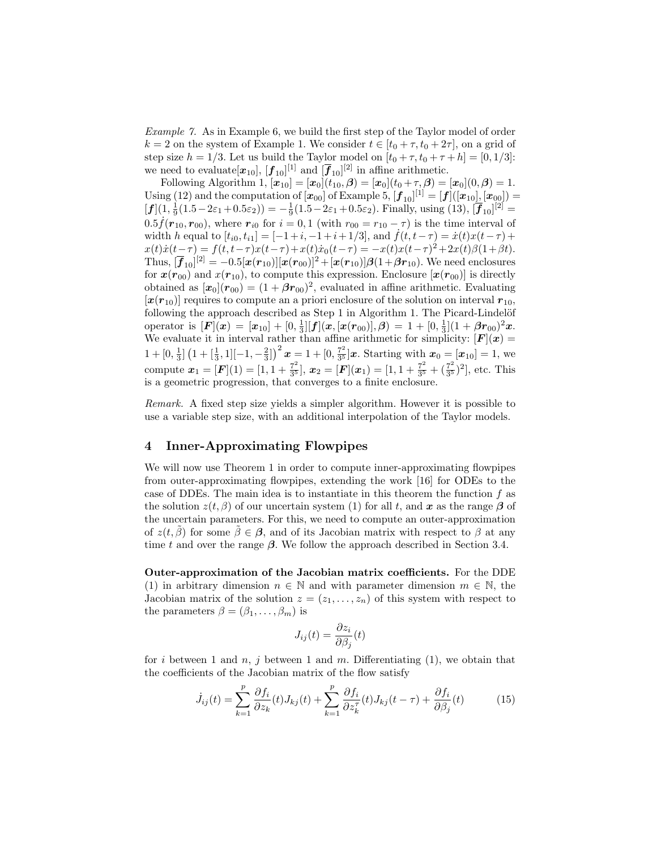Example 7. As in Example 6, we build the first step of the Taylor model of order  $k = 2$  on the system of Example 1. We consider  $t \in [t_0 + \tau, t_0 + 2\tau]$ , on a grid of step size  $h = 1/3$ . Let us build the Taylor model on  $[t_0 + \tau, t_0 + \tau + h] = [0, 1/3]$ : we need to evaluate $[x_{10}], [\mathbf{f}_{10}]^{[1]}$  and  $[\overline{\mathbf{f}}_{10}]^{[2]}$  in affine arithmetic.

Following Algorithm 1,  $[\bm{x}_{10}] = [\bm{x}_0](t_{10}, \bm{\beta}) = [\bm{x}_0](t_0 + \tau, \bm{\beta}) = [\bm{x}_0](0, \bm{\beta}) = 1.$ Using (12) and the computation of  $[x_{00}]$  of Example 5,  $[\bm{f}_{10}]^{[1]} = [\bm{f}] ([\bm{x}_{10}], [\bm{x}_{00}]) =$  $[f](1, \frac{1}{9}(1.5 - 2\varepsilon_1 + 0.5\varepsilon_2)) = -\frac{1}{9}(1.5 - 2\varepsilon_1 + 0.5\varepsilon_2)$ . Finally, using (13),  $[\overline{f}_{10}]^{[2]} =$  $0.5\dot{f}(r_{10}, r_{00})$ , where  $r_{i0}$  for  $i=0,1$  (with  $r_{00}=r_{10}-\tau$ ) is the time interval of width h equal to  $[t_{i0}, t_{i1}] = [-1+i, -1+i+1/3]$ , and  $\dot{f}(t, t-\tau) = \dot{x}(t)x(t-\tau) +$  $x(t)\dot{x}(t-\tau) = f(t, t-\tau)x(t-\tau) + x(t)\dot{x}_0(t-\tau) = -x(t)x(t-\tau)^2 + 2x(t)\beta(1+\beta t).$ Thus,  $[\overline{\bm{f}}_{10}]^{[2]} = -0.5[\bm{x}(\bm{r}_{10})][\bm{x}(\bm{r}_{00})]^2 + [\bm{x}(\bm{r}_{10})]\bm{\beta}(1+\bm{\beta}\bm{r}_{10}).$  We need enclosures for  $x(r_{00})$  and  $x(r_{10})$ , to compute this expression. Enclosure  $[x(r_{00})]$  is directly obtained as  $[\mathbf{x}_0](r_{00}) = (1 + \beta r_{00})^2$ , evaluated in affine arithmetic. Evaluating  $[x(r_{10})]$  requires to compute an a priori enclosure of the solution on interval  $r_{10}$ , following the approach described as Step 1 in Algorithm 1. The Picard-Lindelöf operator is  $[F](x) = [x_{10}] + [0, \frac{1}{3}][f](x, [x(r_{00})], \beta) = 1 + [0, \frac{1}{3}](1 + \beta r_{00})^2 x.$ We evaluate it in interval rather than affine arithmetic for simplicity:  $[F](x) =$  $1 + [0, \frac{1}{3}] (1 + [\frac{1}{3}, 1][-1, -\frac{2}{3}])^{2} x = 1 + [0, \frac{7^{2}}{3^{5}}]$  $\frac{7^2}{3^5}$  x. Starting with  $x_0 = [x_{10}] = 1$ , we compute  $x_1 = [F](1) = [1, 1 + \frac{7^2}{3^5}]$  $[\overline{x_2^2}], \, \boldsymbol{x_2} = [\boldsymbol{F}](\boldsymbol{x}_1) = [1, 1 + \frac{7^2}{3^5}]$  $rac{7^2}{3^5} + (\frac{7^2}{3^5}$  $(\frac{7^2}{3^5})^2$ , etc. This is a geometric progression, that converges to a finite enclosure.

Remark. A fixed step size yields a simpler algorithm. However it is possible to use a variable step size, with an additional interpolation of the Taylor models.

## 4 Inner-Approximating Flowpipes

We will now use Theorem 1 in order to compute inner-approximating flowpipes from outer-approximating flowpipes, extending the work [16] for ODEs to the case of DDEs. The main idea is to instantiate in this theorem the function  $f$  as the solution  $z(t, \beta)$  of our uncertain system (1) for all t, and x as the range  $\beta$  of the uncertain parameters. For this, we need to compute an outer-approximation of  $z(t, \tilde{\beta})$  for some  $\tilde{\beta} \in \beta$ , and of its Jacobian matrix with respect to  $\beta$  at any time t and over the range  $\beta$ . We follow the approach described in Section 3.4.

Outer-approximation of the Jacobian matrix coefficients. For the DDE (1) in arbitrary dimension  $n \in \mathbb{N}$  and with parameter dimension  $m \in \mathbb{N}$ , the Jacobian matrix of the solution  $z = (z_1, \ldots, z_n)$  of this system with respect to the parameters  $\beta = (\beta_1, \ldots, \beta_m)$  is

$$
J_{ij}(t) = \frac{\partial z_i}{\partial \beta_j}(t)
$$

for i between 1 and  $n, j$  between 1 and  $m$ . Differentiating (1), we obtain that the coefficients of the Jacobian matrix of the flow satisfy

$$
\dot{J}_{ij}(t) = \sum_{k=1}^{p} \frac{\partial f_i}{\partial z_k}(t) J_{kj}(t) + \sum_{k=1}^{p} \frac{\partial f_i}{\partial z_k^{\tau}}(t) J_{kj}(t - \tau) + \frac{\partial f_i}{\partial \beta_j}(t) \tag{15}
$$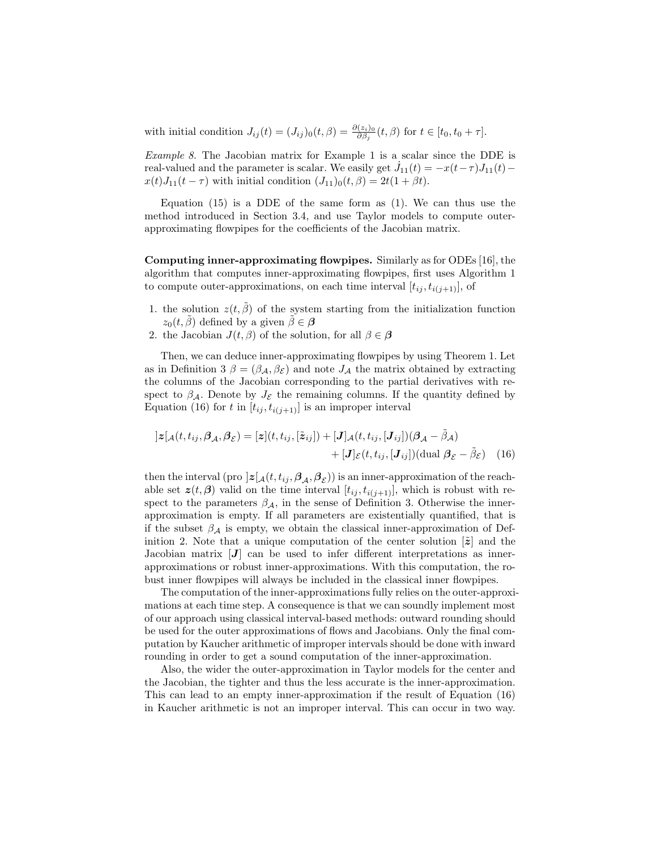with initial condition  $J_{ij}(t) = (J_{ij})_0(t,\beta) = \frac{\partial(z_i)_0}{\partial \beta_j}(t,\beta)$  for  $t \in [t_0, t_0 + \tau]$ .

Example 8. The Jacobian matrix for Example 1 is a scalar since the DDE is real-valued and the parameter is scalar. We easily get  $\dot{J}_{11}(t) = -x(t-\tau)J_{11}(t)$  –  $x(t)J_{11}(t-\tau)$  with initial condition  $(J_{11})_0(t,\beta) = 2t(1+\beta t)$ .

Equation  $(15)$  is a DDE of the same form as  $(1)$ . We can thus use the method introduced in Section 3.4, and use Taylor models to compute outerapproximating flowpipes for the coefficients of the Jacobian matrix.

Computing inner-approximating flowpipes. Similarly as for ODEs [16], the algorithm that computes inner-approximating flowpipes, first uses Algorithm 1 to compute outer-approximations, on each time interval  $[t_{ij}, t_{i(i+1)}],$  of

- 1. the solution  $z(t, \tilde{\beta})$  of the system starting from the initialization function  $z_0(t, \tilde{\beta})$  defined by a given  $\tilde{\beta} \in \beta$
- 2. the Jacobian  $J(t, \beta)$  of the solution, for all  $\beta \in \beta$

Then, we can deduce inner-approximating flowpipes by using Theorem 1. Let as in Definition 3  $\beta = (\beta_{\mathcal{A}}, \beta_{\mathcal{E}})$  and note  $J_{\mathcal{A}}$  the matrix obtained by extracting the columns of the Jacobian corresponding to the partial derivatives with respect to  $\beta_{\mathcal{A}}$ . Denote by  $J_{\mathcal{E}}$  the remaining columns. If the quantity defined by Equation (16) for t in  $[t_{ij}, t_{i(j+1)}]$  is an improper interval

$$
]z[\mathcal{A}(t, t_{ij}, \beta_{\mathcal{A}}, \beta_{\mathcal{E}}) = [z](t, t_{ij}, [\tilde{z}_{ij}]) + [J]\mathcal{A}(t, t_{ij}, [J_{ij}])(\beta_{\mathcal{A}} - \tilde{\beta}_{\mathcal{A}})
$$

$$
+ [J]_{\mathcal{E}}(t, t_{ij}, [J_{ij}]) (\text{dual } \beta_{\mathcal{E}} - \tilde{\beta}_{\mathcal{E}})
$$
(16)

then the interval (pro  $]z[_{\mathcal{A}}(t,t_{ij},\boldsymbol{\beta}_{\mathcal{A}},\boldsymbol{\beta}_{\mathcal{E}}))$  is an inner-approximation of the reachable set  $z(t, \beta)$  valid on the time interval  $[t_{ij}, t_{i(j+1)}],$  which is robust with respect to the parameters  $\beta_A$ , in the sense of Definition 3. Otherwise the innerapproximation is empty. If all parameters are existentially quantified, that is if the subset  $\beta_{\mathcal{A}}$  is empty, we obtain the classical inner-approximation of Definition 2. Note that a unique computation of the center solution  $[\tilde{z}]$  and the Jacobian matrix  $[J]$  can be used to infer different interpretations as innerapproximations or robust inner-approximations. With this computation, the robust inner flowpipes will always be included in the classical inner flowpipes.

The computation of the inner-approximations fully relies on the outer-approximations at each time step. A consequence is that we can soundly implement most of our approach using classical interval-based methods: outward rounding should be used for the outer approximations of flows and Jacobians. Only the final computation by Kaucher arithmetic of improper intervals should be done with inward rounding in order to get a sound computation of the inner-approximation.

Also, the wider the outer-approximation in Taylor models for the center and the Jacobian, the tighter and thus the less accurate is the inner-approximation. This can lead to an empty inner-approximation if the result of Equation (16) in Kaucher arithmetic is not an improper interval. This can occur in two way.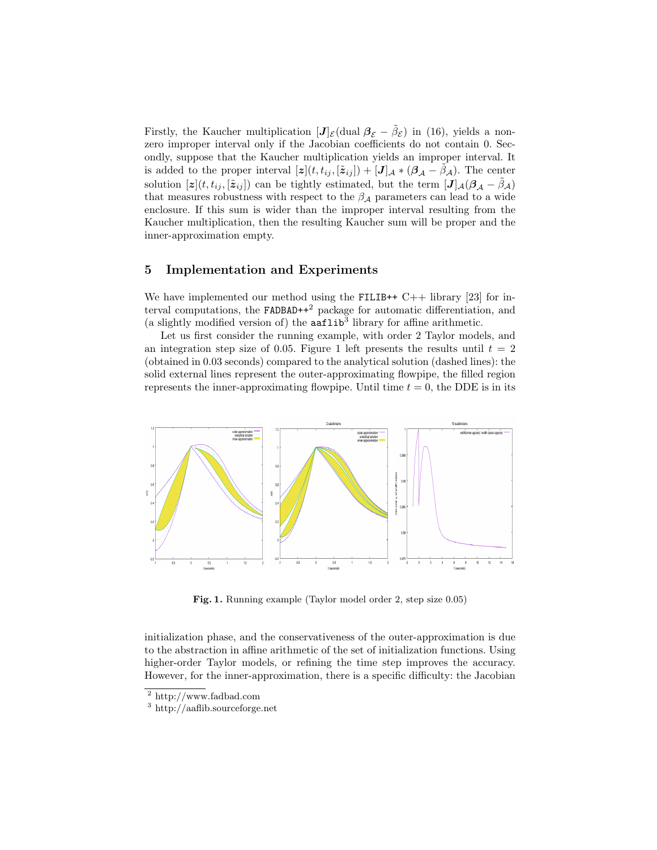Firstly, the Kaucher multiplication  $[J]_{\mathcal{E}}$  (dual  $\beta_{\mathcal{E}} - \tilde{\beta}_{\mathcal{E}}$ ) in (16), yields a nonzero improper interval only if the Jacobian coefficients do not contain 0. Secondly, suppose that the Kaucher multiplication yields an improper interval. It is added to the proper interval  $[\boldsymbol{z}](t, t_{ij}, [\tilde{\boldsymbol{z}}_{ij}]) + [\boldsymbol{J}]_{\mathcal{A}} * (\boldsymbol{\beta}_{\mathcal{A}} - \boldsymbol{\beta}_{\mathcal{A}}).$  The center solution  $[\boldsymbol{z}](t, t_{ij}, [\tilde{\boldsymbol{z}}_{ij}])$  can be tightly estimated, but the term  $[\boldsymbol{J}]_{\mathcal{A}}(\boldsymbol{\beta}_{\mathcal{A}} - \tilde{\beta}_{\mathcal{A}})$ that measures robustness with respect to the  $\beta_A$  parameters can lead to a wide enclosure. If this sum is wider than the improper interval resulting from the Kaucher multiplication, then the resulting Kaucher sum will be proper and the inner-approximation empty.

## 5 Implementation and Experiments

We have implemented our method using the FILIB++  $C++$  library [23] for interval computations, the  $FADBAD++<sup>2</sup>$  package for automatic differentiation, and (a slightly modified version of) the  $\texttt{aaflip}^3$  library for affine arithmetic.

Let us first consider the running example, with order 2 Taylor models, and an integration step size of 0.05. Figure 1 left presents the results until  $t = 2$ (obtained in 0.03 seconds) compared to the analytical solution (dashed lines): the solid external lines represent the outer-approximating flowpipe, the filled region represents the inner-approximating flowpipe. Until time  $t = 0$ , the DDE is in its



Fig. 1. Running example (Taylor model order 2, step size 0.05)

initialization phase, and the conservativeness of the outer-approximation is due to the abstraction in affine arithmetic of the set of initialization functions. Using higher-order Taylor models, or refining the time step improves the accuracy. However, for the inner-approximation, there is a specific difficulty: the Jacobian

<sup>2</sup> http://www.fadbad.com

<sup>3</sup> http://aaflib.sourceforge.net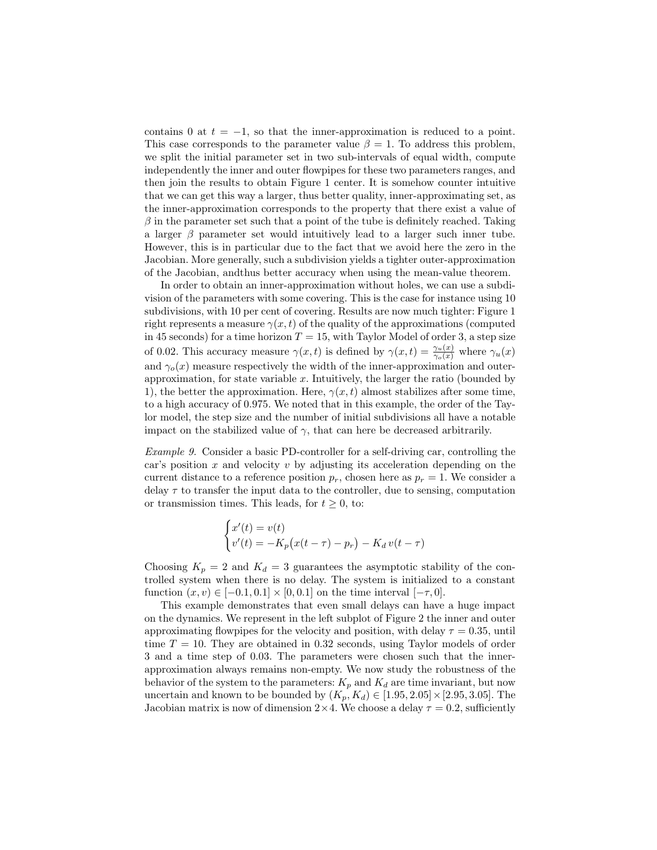contains 0 at  $t = -1$ , so that the inner-approximation is reduced to a point. This case corresponds to the parameter value  $\beta = 1$ . To address this problem, we split the initial parameter set in two sub-intervals of equal width, compute independently the inner and outer flowpipes for these two parameters ranges, and then join the results to obtain Figure 1 center. It is somehow counter intuitive that we can get this way a larger, thus better quality, inner-approximating set, as the inner-approximation corresponds to the property that there exist a value of  $\beta$  in the parameter set such that a point of the tube is definitely reached. Taking a larger  $\beta$  parameter set would intuitively lead to a larger such inner tube. However, this is in particular due to the fact that we avoid here the zero in the Jacobian. More generally, such a subdivision yields a tighter outer-approximation of the Jacobian, andthus better accuracy when using the mean-value theorem.

In order to obtain an inner-approximation without holes, we can use a subdivision of the parameters with some covering. This is the case for instance using 10 subdivisions, with 10 per cent of covering. Results are now much tighter: Figure 1 right represents a measure  $\gamma(x, t)$  of the quality of the approximations (computed in 45 seconds) for a time horizon  $T = 15$ , with Taylor Model of order 3, a step size of 0.02. This accuracy measure  $\gamma(x,t)$  is defined by  $\gamma(x,t) = \frac{\gamma_u(x)}{\gamma_o(x)}$  where  $\gamma_u(x)$ and  $\gamma_o(x)$  measure respectively the width of the inner-approximation and outerapproximation, for state variable  $x$ . Intuitively, the larger the ratio (bounded by 1), the better the approximation. Here,  $\gamma(x, t)$  almost stabilizes after some time, to a high accuracy of 0.975. We noted that in this example, the order of the Taylor model, the step size and the number of initial subdivisions all have a notable impact on the stabilized value of  $\gamma$ , that can here be decreased arbitrarily.

Example 9. Consider a basic PD-controller for a self-driving car, controlling the car's position  $x$  and velocity  $v$  by adjusting its acceleration depending on the current distance to a reference position  $p_r$ , chosen here as  $p_r = 1$ . We consider a delay  $\tau$  to transfer the input data to the controller, due to sensing, computation or transmission times. This leads, for  $t \geq 0$ , to:

$$
\begin{cases}\nx'(t) = v(t) \\
v'(t) = -K_p(x(t-\tau) - p_r) - K_d v(t-\tau)\n\end{cases}
$$

Choosing  $K_p = 2$  and  $K_d = 3$  guarantees the asymptotic stability of the controlled system when there is no delay. The system is initialized to a constant function  $(x, v) \in [-0.1, 0.1] \times [0, 0.1]$  on the time interval  $[-\tau, 0]$ .

This example demonstrates that even small delays can have a huge impact on the dynamics. We represent in the left subplot of Figure 2 the inner and outer approximating flowpipes for the velocity and position, with delay  $\tau = 0.35$ , until time  $T = 10$ . They are obtained in 0.32 seconds, using Taylor models of order 3 and a time step of 0.03. The parameters were chosen such that the innerapproximation always remains non-empty. We now study the robustness of the behavior of the system to the parameters:  $K_p$  and  $K_d$  are time invariant, but now uncertain and known to be bounded by  $(K_p, K_d) \in [1.95, 2.05] \times [2.95, 3.05]$ . The Jacobian matrix is now of dimension  $2 \times 4$ . We choose a delay  $\tau = 0.2$ , sufficiently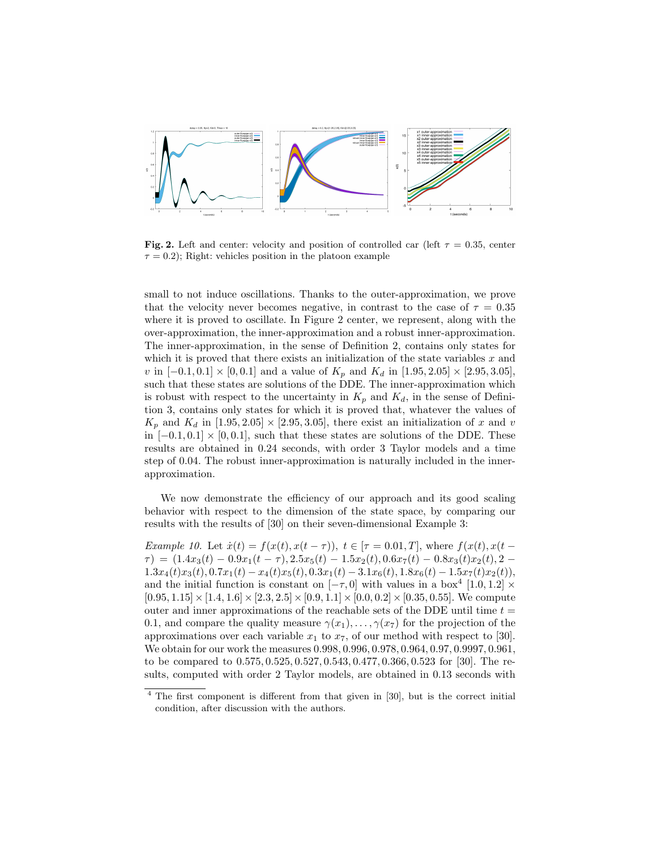

Fig. 2. Left and center: velocity and position of controlled car (left  $\tau = 0.35$ , center  $\tau = 0.2$ ); Right: vehicles position in the platoon example

small to not induce oscillations. Thanks to the outer-approximation, we prove that the velocity never becomes negative, in contrast to the case of  $\tau = 0.35$ where it is proved to oscillate. In Figure 2 center, we represent, along with the over-approximation, the inner-approximation and a robust inner-approximation. The inner-approximation, in the sense of Definition 2, contains only states for which it is proved that there exists an initialization of the state variables  $x$  and v in  $[-0.1, 0.1] \times [0, 0.1]$  and a value of  $K_p$  and  $K_d$  in  $[1.95, 2.05] \times [2.95, 3.05]$ , such that these states are solutions of the DDE. The inner-approximation which is robust with respect to the uncertainty in  $K_p$  and  $K_d$ , in the sense of Definition 3, contains only states for which it is proved that, whatever the values of  $K_p$  and  $K_d$  in [1.95, 2.05]  $\times$  [2.95, 3.05], there exist an initialization of x and v in  $[-0.1, 0.1] \times [0, 0.1]$ , such that these states are solutions of the DDE. These results are obtained in 0.24 seconds, with order 3 Taylor models and a time step of 0.04. The robust inner-approximation is naturally included in the innerapproximation.

We now demonstrate the efficiency of our approach and its good scaling behavior with respect to the dimension of the state space, by comparing our results with the results of [30] on their seven-dimensional Example 3:

Example 10. Let  $\dot{x}(t) = f(x(t), x(t-\tau))$ ,  $t \in [\tau = 0.01, T]$ , where  $f(x(t), x(t-\tau))$  $\tau$ ) = (1.4x<sub>3</sub>(t) – 0.9x<sub>1</sub>(t –  $\tau$ ), 2.5x<sub>5</sub>(t) – 1.5x<sub>2</sub>(t), 0.6x<sub>7</sub>(t) – 0.8x<sub>3</sub>(t)x<sub>2</sub>(t), 2 –  $1.3x_4(t)x_3(t), 0.7x_1(t) - x_4(t)x_5(t), 0.3x_1(t) - 3.1x_6(t), 1.8x_6(t) - 1.5x_7(t)x_2(t)),$ and the initial function is constant on  $[-\tau, 0]$  with values in a box<sup>4</sup> [1.0, 1.2] ×  $[0.95, 1.15] \times [1.4, 1.6] \times [2.3, 2.5] \times [0.9, 1.1] \times [0.0, 0.2] \times [0.35, 0.55]$ . We compute outer and inner approximations of the reachable sets of the DDE until time  $t =$ 0.1, and compare the quality measure  $\gamma(x_1), \ldots, \gamma(x_7)$  for the projection of the approximations over each variable  $x_1$  to  $x_7$ , of our method with respect to [30]. We obtain for our work the measures 0.998, 0.996, 0.978, 0.964, 0.97, 0.9997, 0.961, to be compared to 0.575, 0.525, 0.527, 0.543, 0.477, 0.366, 0.523 for [30]. The results, computed with order 2 Taylor models, are obtained in 0.13 seconds with

<sup>4</sup> The first component is different from that given in [30], but is the correct initial condition, after discussion with the authors.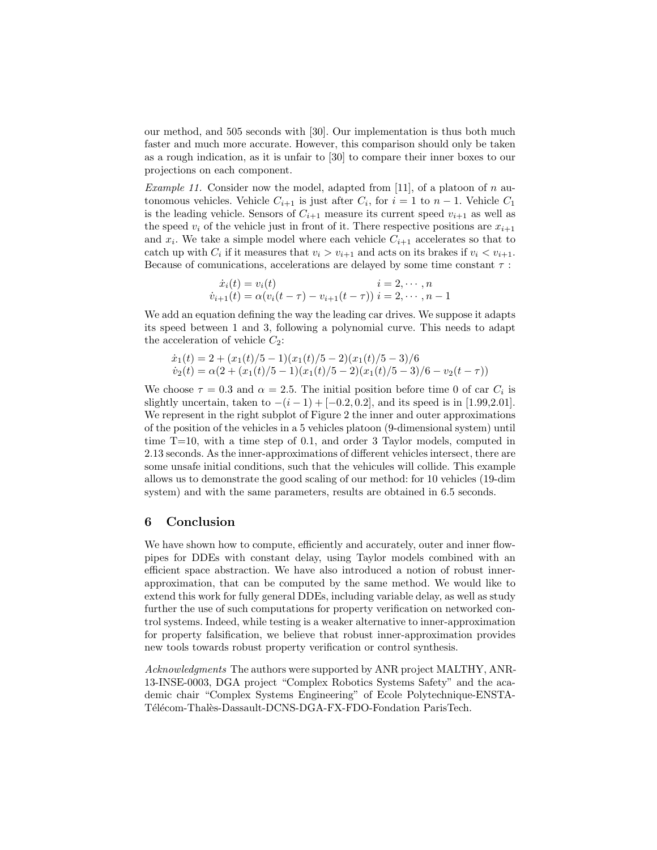our method, and 505 seconds with [30]. Our implementation is thus both much faster and much more accurate. However, this comparison should only be taken as a rough indication, as it is unfair to [30] to compare their inner boxes to our projections on each component.

*Example 11.* Consider now the model, adapted from [11], of a platoon of n autonomous vehicles. Vehicle  $C_{i+1}$  is just after  $C_i$ , for  $i = 1$  to  $n - 1$ . Vehicle  $C_1$ is the leading vehicle. Sensors of  $C_{i+1}$  measure its current speed  $v_{i+1}$  as well as the speed  $v_i$  of the vehicle just in front of it. There respective positions are  $x_{i+1}$ and  $x_i$ . We take a simple model where each vehicle  $C_{i+1}$  accelerates so that to catch up with  $C_i$  if it measures that  $v_i > v_{i+1}$  and acts on its brakes if  $v_i < v_{i+1}$ . Because of comunications, accelerations are delayed by some time constant  $\tau$ :

$$
\dot{x}_i(t) = v_i(t) \qquad i = 2, \cdots, n
$$
  

$$
\dot{v}_{i+1}(t) = \alpha (v_i(t-\tau) - v_{i+1}(t-\tau)) \qquad i = 2, \cdots, n-1
$$

We add an equation defining the way the leading car drives. We suppose it adapts its speed between 1 and 3, following a polynomial curve. This needs to adapt the acceleration of vehicle  $C_2$ :

$$
\begin{aligned} \dot{x}_1(t) &= 2 + (x_1(t)/5 - 1)(x_1(t)/5 - 2)(x_1(t)/5 - 3)/6 \\ \dot{v}_2(t) &= \alpha(2 + (x_1(t)/5 - 1)(x_1(t)/5 - 2)(x_1(t)/5 - 3)/6 - v_2(t - \tau)) \end{aligned}
$$

We choose  $\tau = 0.3$  and  $\alpha = 2.5$ . The initial position before time 0 of car  $C_i$  is slightly uncertain, taken to  $-(i-1) + [-0.2, 0.2]$ , and its speed is in [1.99,2.01]. We represent in the right subplot of Figure 2 the inner and outer approximations of the position of the vehicles in a 5 vehicles platoon (9-dimensional system) until time T=10, with a time step of 0.1, and order 3 Taylor models, computed in 2.13 seconds. As the inner-approximations of different vehicles intersect, there are some unsafe initial conditions, such that the vehicules will collide. This example allows us to demonstrate the good scaling of our method: for 10 vehicles (19-dim system) and with the same parameters, results are obtained in 6.5 seconds.

## 6 Conclusion

We have shown how to compute, efficiently and accurately, outer and inner flowpipes for DDEs with constant delay, using Taylor models combined with an efficient space abstraction. We have also introduced a notion of robust innerapproximation, that can be computed by the same method. We would like to extend this work for fully general DDEs, including variable delay, as well as study further the use of such computations for property verification on networked control systems. Indeed, while testing is a weaker alternative to inner-approximation for property falsification, we believe that robust inner-approximation provides new tools towards robust property verification or control synthesis.

Acknowledgments The authors were supported by ANR project MALTHY, ANR-13-INSE-0003, DGA project "Complex Robotics Systems Safety" and the academic chair "Complex Systems Engineering" of Ecole Polytechnique-ENSTA-Télécom-Thalès-Dassault-DCNS-DGA-FX-FDO-Fondation ParisTech.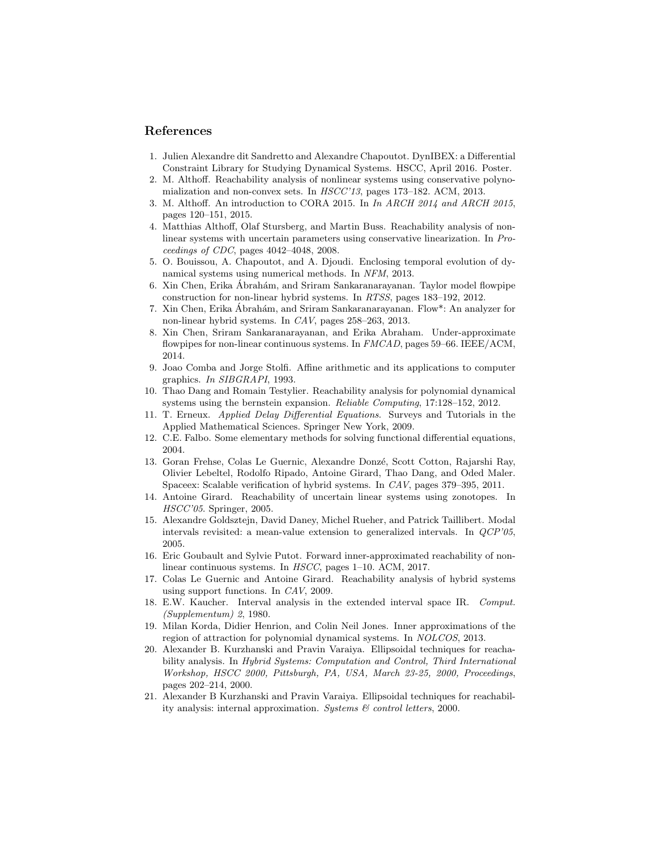### References

- 1. Julien Alexandre dit Sandretto and Alexandre Chapoutot. DynIBEX: a Differential Constraint Library for Studying Dynamical Systems. HSCC, April 2016. Poster.
- 2. M. Althoff. Reachability analysis of nonlinear systems using conservative polynomialization and non-convex sets. In  $HSCC'13$ , pages 173–182. ACM, 2013.
- 3. M. Althoff. An introduction to CORA 2015. In In ARCH 2014 and ARCH 2015, pages 120–151, 2015.
- 4. Matthias Althoff, Olaf Stursberg, and Martin Buss. Reachability analysis of nonlinear systems with uncertain parameters using conservative linearization. In Proceedings of CDC, pages 4042–4048, 2008.
- 5. O. Bouissou, A. Chapoutot, and A. Djoudi. Enclosing temporal evolution of dynamical systems using numerical methods. In NFM, 2013.
- 6. Xin Chen, Erika Abrah´am, and Sriram Sankaranarayanan. Taylor model flowpipe ´ construction for non-linear hybrid systems. In RTSS, pages 183–192, 2012.
- 7. Xin Chen, Erika Abrah´am, and Sriram Sankaranarayanan. Flow\*: An analyzer for ´ non-linear hybrid systems. In CAV, pages 258–263, 2013.
- 8. Xin Chen, Sriram Sankaranarayanan, and Erika Abraham. Under-approximate flowpipes for non-linear continuous systems. In FMCAD, pages 59–66. IEEE/ACM, 2014.
- 9. Joao Comba and Jorge Stolfi. Affine arithmetic and its applications to computer graphics. In SIBGRAPI, 1993.
- 10. Thao Dang and Romain Testylier. Reachability analysis for polynomial dynamical systems using the bernstein expansion. Reliable Computing, 17:128–152, 2012.
- 11. T. Erneux. Applied Delay Differential Equations. Surveys and Tutorials in the Applied Mathematical Sciences. Springer New York, 2009.
- 12. C.E. Falbo. Some elementary methods for solving functional differential equations, 2004.
- 13. Goran Frehse, Colas Le Guernic, Alexandre Donzé, Scott Cotton, Rajarshi Ray, Olivier Lebeltel, Rodolfo Ripado, Antoine Girard, Thao Dang, and Oded Maler. Spaceex: Scalable verification of hybrid systems. In CAV, pages 379–395, 2011.
- 14. Antoine Girard. Reachability of uncertain linear systems using zonotopes. In HSCC'05. Springer, 2005.
- 15. Alexandre Goldsztejn, David Daney, Michel Rueher, and Patrick Taillibert. Modal intervals revisited: a mean-value extension to generalized intervals. In QCP'05, 2005.
- 16. Eric Goubault and Sylvie Putot. Forward inner-approximated reachability of nonlinear continuous systems. In HSCC, pages 1–10. ACM, 2017.
- 17. Colas Le Guernic and Antoine Girard. Reachability analysis of hybrid systems using support functions. In CAV, 2009.
- 18. E.W. Kaucher. Interval analysis in the extended interval space IR. Comput. (Supplementum) 2, 1980.
- 19. Milan Korda, Didier Henrion, and Colin Neil Jones. Inner approximations of the region of attraction for polynomial dynamical systems. In NOLCOS, 2013.
- 20. Alexander B. Kurzhanski and Pravin Varaiya. Ellipsoidal techniques for reachability analysis. In Hybrid Systems: Computation and Control, Third International Workshop, HSCC 2000, Pittsburgh, PA, USA, March 23-25, 2000, Proceedings, pages 202–214, 2000.
- 21. Alexander B Kurzhanski and Pravin Varaiya. Ellipsoidal techniques for reachability analysis: internal approximation. Systems  $\mathcal{B}$  control letters, 2000.